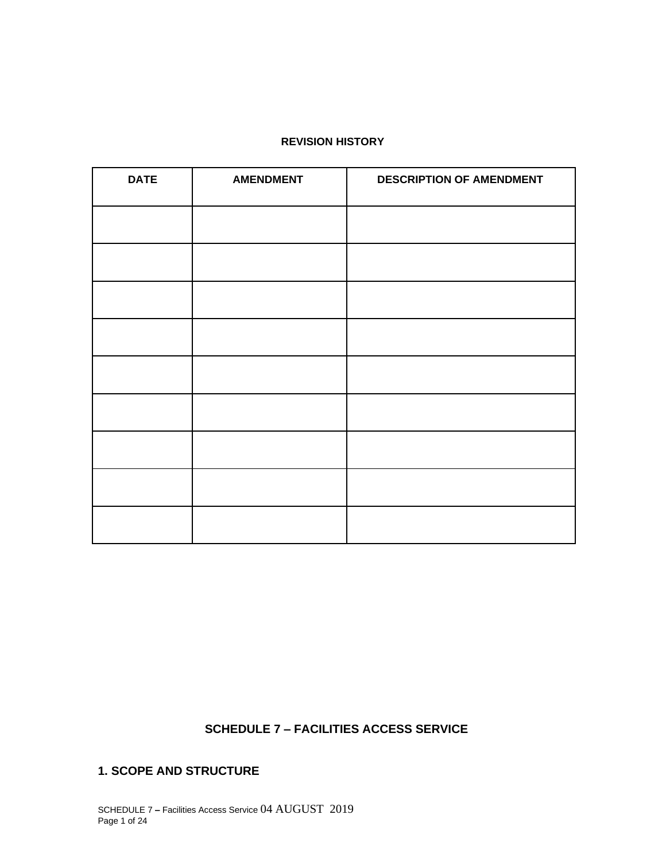#### **REVISION HISTORY**

| <b>DATE</b> | <b>AMENDMENT</b> | <b>DESCRIPTION OF AMENDMENT</b> |
|-------------|------------------|---------------------------------|
|             |                  |                                 |
|             |                  |                                 |
|             |                  |                                 |
|             |                  |                                 |
|             |                  |                                 |
|             |                  |                                 |
|             |                  |                                 |
|             |                  |                                 |
|             |                  |                                 |

## **SCHEDULE 7 – FACILITIES ACCESS SERVICE**

### **1. SCOPE AND STRUCTURE**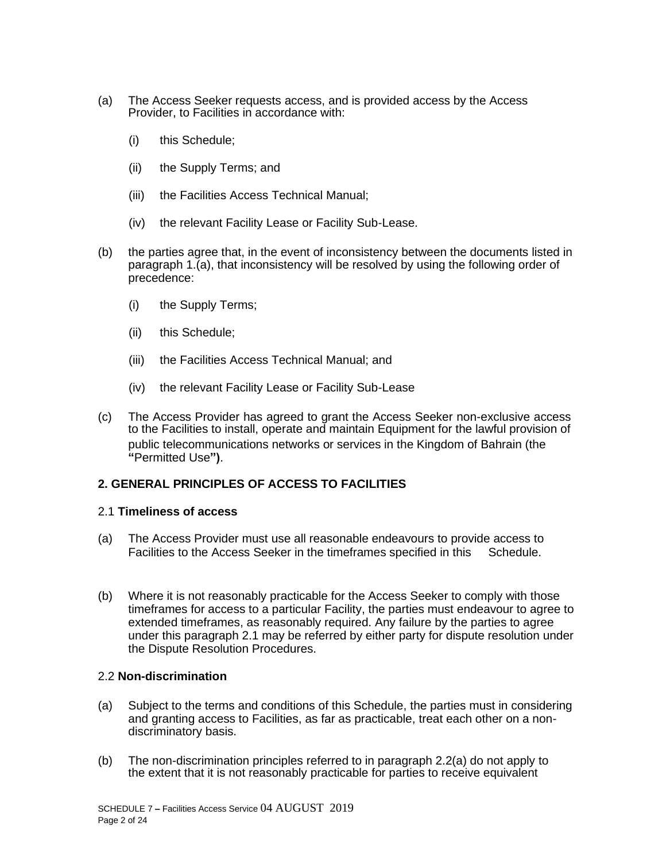- (a) The Access Seeker requests access, and is provided access by the Access Provider, to Facilities in accordance with:
	- (i) this Schedule;
	- (ii) the Supply Terms; and
	- (iii) the Facilities Access Technical Manual;
	- (iv) the relevant Facility Lease or Facility Sub-Lease.
- (b) the parties agree that, in the event of inconsistency between the documents listed in paragraph 1.(a), that inconsistency will be resolved by using the following order of precedence:
	- (i) the Supply Terms;
	- (ii) this Schedule;
	- (iii) the Facilities Access Technical Manual; and
	- (iv) the relevant Facility Lease or Facility Sub-Lease
- (c) The Access Provider has agreed to grant the Access Seeker non-exclusive access to the Facilities to install, operate and maintain Equipment for the lawful provision of public telecommunications networks or services in the Kingdom of Bahrain (the **"**Permitted Use**")**.

### **2. GENERAL PRINCIPLES OF ACCESS TO FACILITIES**

#### 2.1 **Timeliness of access**

- (a) The Access Provider must use all reasonable endeavours to provide access to Facilities to the Access Seeker in the timeframes specified in this Schedule.
- (b) Where it is not reasonably practicable for the Access Seeker to comply with those timeframes for access to a particular Facility, the parties must endeavour to agree to extended timeframes, as reasonably required. Any failure by the parties to agree under this paragraph 2.1 may be referred by either party for dispute resolution under the Dispute Resolution Procedures.

#### 2.2 **Non-discrimination**

- (a) Subject to the terms and conditions of this Schedule, the parties must in considering and granting access to Facilities, as far as practicable, treat each other on a nondiscriminatory basis.
- (b) The non-discrimination principles referred to in paragraph 2.2(a) do not apply to the extent that it is not reasonably practicable for parties to receive equivalent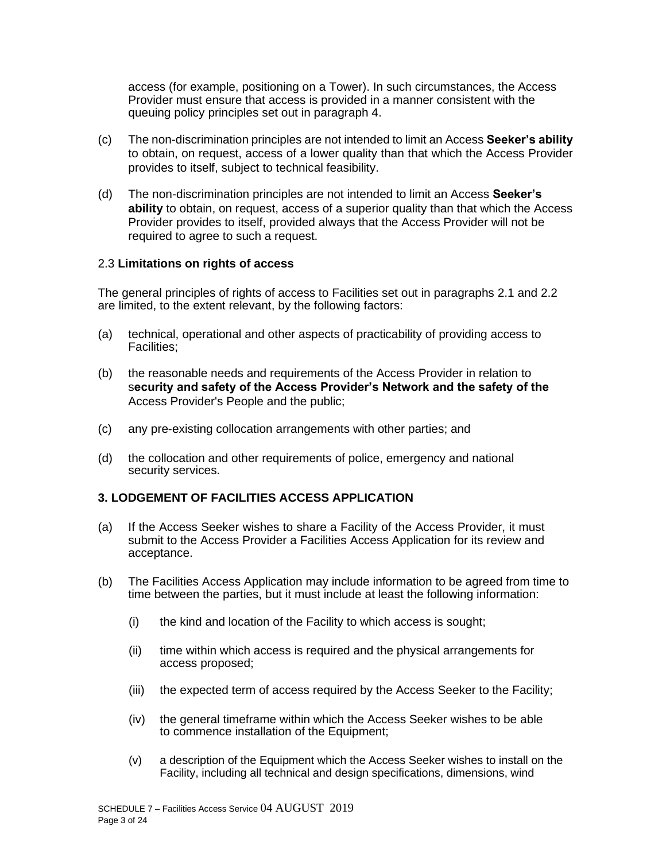access (for example, positioning on a Tower). In such circumstances, the Access Provider must ensure that access is provided in a manner consistent with the queuing policy principles set out in paragraph 4.

- (c) The non-discrimination principles are not intended to limit an Access **Seeker's ability** to obtain, on request, access of a lower quality than that which the Access Provider provides to itself, subject to technical feasibility.
- (d) The non-discrimination principles are not intended to limit an Access **Seeker's ability** to obtain, on request, access of a superior quality than that which the Access Provider provides to itself, provided always that the Access Provider will not be required to agree to such a request.

#### 2.3 **Limitations on rights of access**

The general principles of rights of access to Facilities set out in paragraphs 2.1 and 2.2 are limited, to the extent relevant, by the following factors:

- (a) technical, operational and other aspects of practicability of providing access to Facilities;
- (b) the reasonable needs and requirements of the Access Provider in relation to s**ecurity and safety of the Access Provider's Network and the safety of the** Access Provider's People and the public;
- (c) any pre-existing collocation arrangements with other parties; and
- (d) the collocation and other requirements of police, emergency and national security services.

#### **3. LODGEMENT OF FACILITIES ACCESS APPLICATION**

- (a) If the Access Seeker wishes to share a Facility of the Access Provider, it must submit to the Access Provider a Facilities Access Application for its review and acceptance.
- (b) The Facilities Access Application may include information to be agreed from time to time between the parties, but it must include at least the following information:
	- (i) the kind and location of the Facility to which access is sought;
	- (ii) time within which access is required and the physical arrangements for access proposed;
	- (iii) the expected term of access required by the Access Seeker to the Facility;
	- (iv) the general timeframe within which the Access Seeker wishes to be able to commence installation of the Equipment;
	- (v) a description of the Equipment which the Access Seeker wishes to install on the Facility, including all technical and design specifications, dimensions, wind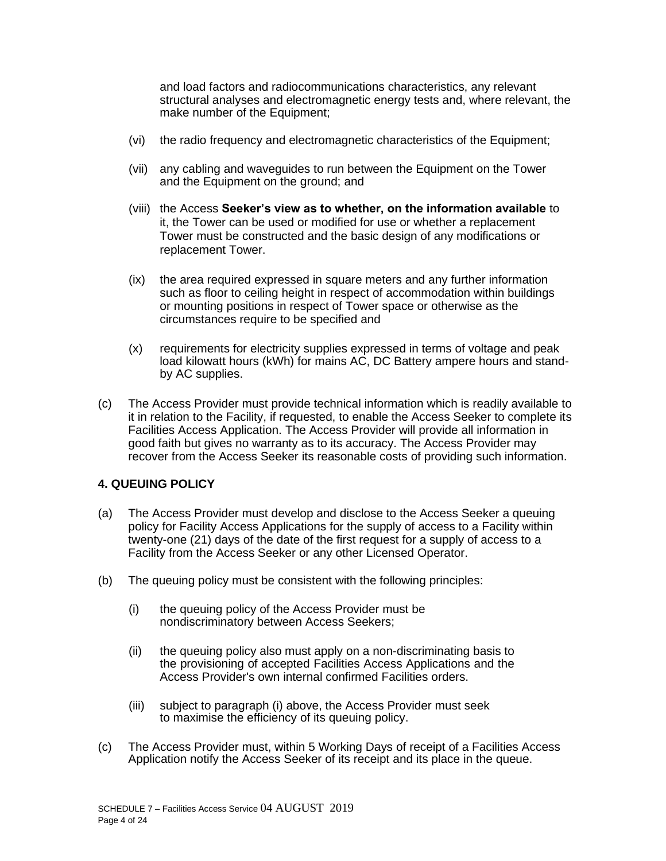and load factors and radiocommunications characteristics, any relevant structural analyses and electromagnetic energy tests and, where relevant, the make number of the Equipment;

- (vi) the radio frequency and electromagnetic characteristics of the Equipment;
- (vii) any cabling and waveguides to run between the Equipment on the Tower and the Equipment on the ground; and
- (viii) the Access **Seeker's view as to whether, on the information available** to it, the Tower can be used or modified for use or whether a replacement Tower must be constructed and the basic design of any modifications or replacement Tower.
- (ix) the area required expressed in square meters and any further information such as floor to ceiling height in respect of accommodation within buildings or mounting positions in respect of Tower space or otherwise as the circumstances require to be specified and
- (x) requirements for electricity supplies expressed in terms of voltage and peak load kilowatt hours (kWh) for mains AC, DC Battery ampere hours and standby AC supplies.
- (c) The Access Provider must provide technical information which is readily available to it in relation to the Facility, if requested, to enable the Access Seeker to complete its Facilities Access Application. The Access Provider will provide all information in good faith but gives no warranty as to its accuracy. The Access Provider may recover from the Access Seeker its reasonable costs of providing such information.

### **4. QUEUING POLICY**

- (a) The Access Provider must develop and disclose to the Access Seeker a queuing policy for Facility Access Applications for the supply of access to a Facility within twenty-one (21) days of the date of the first request for a supply of access to a Facility from the Access Seeker or any other Licensed Operator.
- (b) The queuing policy must be consistent with the following principles:
	- (i) the queuing policy of the Access Provider must be nondiscriminatory between Access Seekers;
	- (ii) the queuing policy also must apply on a non-discriminating basis to the provisioning of accepted Facilities Access Applications and the Access Provider's own internal confirmed Facilities orders.
	- (iii) subject to paragraph (i) above, the Access Provider must seek to maximise the efficiency of its queuing policy.
- (c) The Access Provider must, within 5 Working Days of receipt of a Facilities Access Application notify the Access Seeker of its receipt and its place in the queue.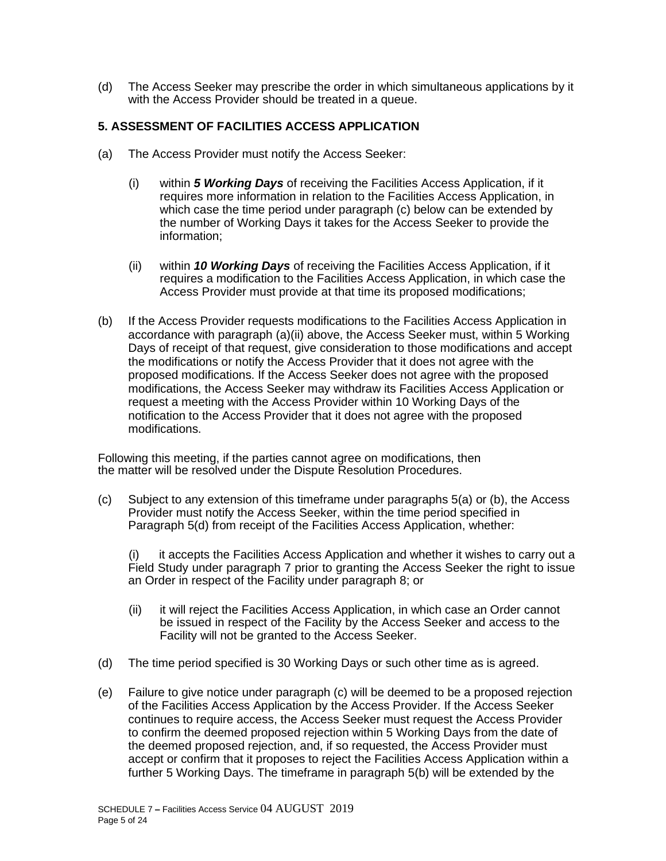(d) The Access Seeker may prescribe the order in which simultaneous applications by it with the Access Provider should be treated in a queue.

### **5. ASSESSMENT OF FACILITIES ACCESS APPLICATION**

- (a) The Access Provider must notify the Access Seeker:
	- (i) within *5 Working Days* of receiving the Facilities Access Application, if it requires more information in relation to the Facilities Access Application, in which case the time period under paragraph (c) below can be extended by the number of Working Days it takes for the Access Seeker to provide the information;
	- (ii) within *10 Working Days* of receiving the Facilities Access Application, if it requires a modification to the Facilities Access Application, in which case the Access Provider must provide at that time its proposed modifications;
- (b) If the Access Provider requests modifications to the Facilities Access Application in accordance with paragraph (a)(ii) above, the Access Seeker must, within 5 Working Days of receipt of that request, give consideration to those modifications and accept the modifications or notify the Access Provider that it does not agree with the proposed modifications. If the Access Seeker does not agree with the proposed modifications, the Access Seeker may withdraw its Facilities Access Application or request a meeting with the Access Provider within 10 Working Days of the notification to the Access Provider that it does not agree with the proposed modifications.

Following this meeting, if the parties cannot agree on modifications, then the matter will be resolved under the Dispute Resolution Procedures.

(c) Subject to any extension of this timeframe under paragraphs 5(a) or (b), the Access Provider must notify the Access Seeker, within the time period specified in Paragraph 5(d) from receipt of the Facilities Access Application, whether:

(i) it accepts the Facilities Access Application and whether it wishes to carry out a Field Study under paragraph 7 prior to granting the Access Seeker the right to issue an Order in respect of the Facility under paragraph 8; or

- (ii) it will reject the Facilities Access Application, in which case an Order cannot be issued in respect of the Facility by the Access Seeker and access to the Facility will not be granted to the Access Seeker.
- (d) The time period specified is 30 Working Days or such other time as is agreed.
- (e) Failure to give notice under paragraph (c) will be deemed to be a proposed rejection of the Facilities Access Application by the Access Provider. If the Access Seeker continues to require access, the Access Seeker must request the Access Provider to confirm the deemed proposed rejection within 5 Working Days from the date of the deemed proposed rejection, and, if so requested, the Access Provider must accept or confirm that it proposes to reject the Facilities Access Application within a further 5 Working Days. The timeframe in paragraph 5(b) will be extended by the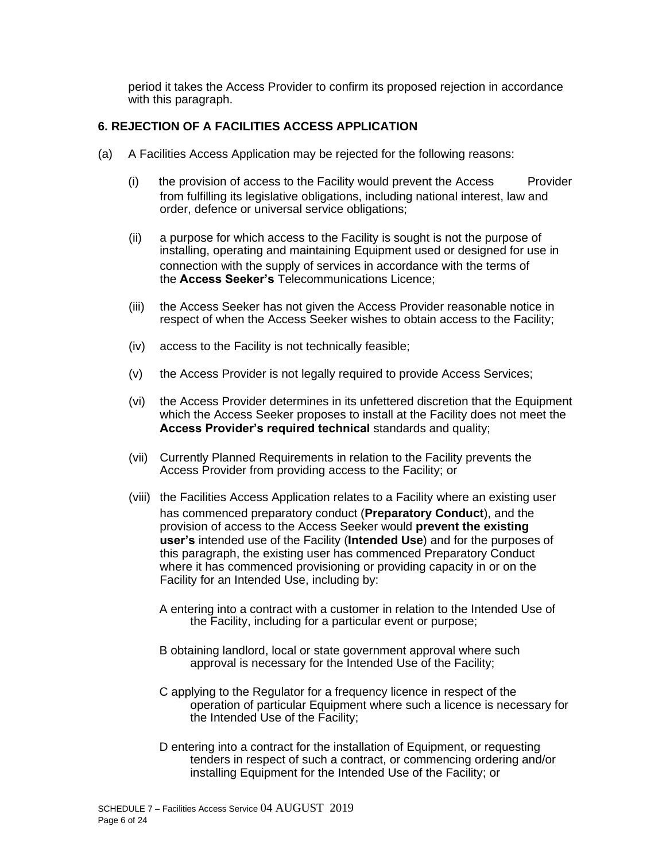period it takes the Access Provider to confirm its proposed rejection in accordance with this paragraph.

### **6. REJECTION OF A FACILITIES ACCESS APPLICATION**

- (a) A Facilities Access Application may be rejected for the following reasons:
	- (i) the provision of access to the Facility would prevent the Access Provider from fulfilling its legislative obligations, including national interest, law and order, defence or universal service obligations;
	- (ii) a purpose for which access to the Facility is sought is not the purpose of installing, operating and maintaining Equipment used or designed for use in connection with the supply of services in accordance with the terms of the **Access Seeker's** Telecommunications Licence;
	- (iii) the Access Seeker has not given the Access Provider reasonable notice in respect of when the Access Seeker wishes to obtain access to the Facility;
	- (iv) access to the Facility is not technically feasible;
	- (v) the Access Provider is not legally required to provide Access Services;
	- (vi) the Access Provider determines in its unfettered discretion that the Equipment which the Access Seeker proposes to install at the Facility does not meet the **Access Provider's required technical** standards and quality;
	- (vii) Currently Planned Requirements in relation to the Facility prevents the Access Provider from providing access to the Facility; or
	- (viii) the Facilities Access Application relates to a Facility where an existing user has commenced preparatory conduct (**Preparatory Conduct**), and the provision of access to the Access Seeker would **prevent the existing user's** intended use of the Facility (**Intended Use**) and for the purposes of this paragraph, the existing user has commenced Preparatory Conduct where it has commenced provisioning or providing capacity in or on the Facility for an Intended Use, including by:
		- A entering into a contract with a customer in relation to the Intended Use of the Facility, including for a particular event or purpose;
		- B obtaining landlord, local or state government approval where such approval is necessary for the Intended Use of the Facility;
		- C applying to the Regulator for a frequency licence in respect of the operation of particular Equipment where such a licence is necessary for the Intended Use of the Facility;
		- D entering into a contract for the installation of Equipment, or requesting tenders in respect of such a contract, or commencing ordering and/or installing Equipment for the Intended Use of the Facility; or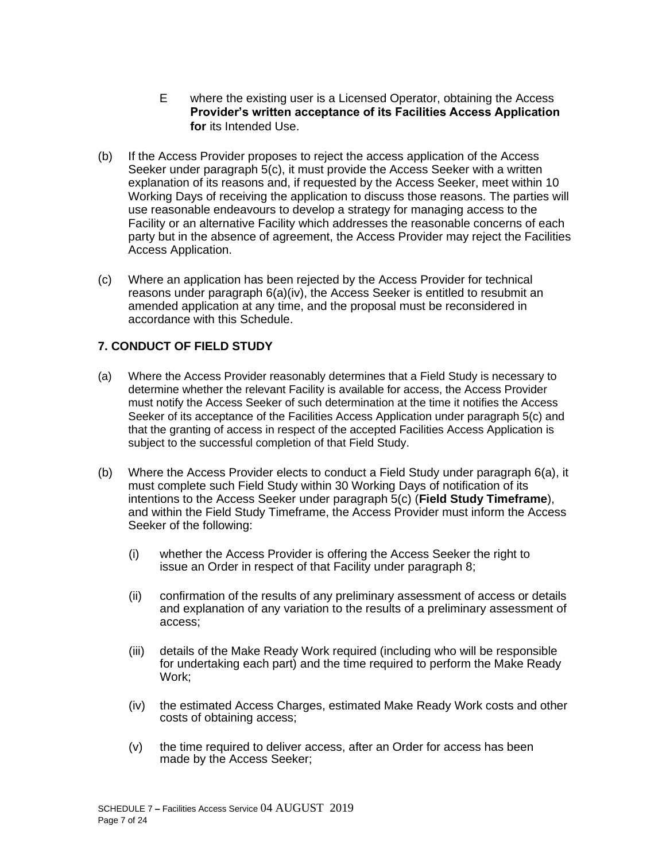- E where the existing user is a Licensed Operator, obtaining the Access **Provider's written acceptance of its Facilities Access Application for** its Intended Use.
- (b) If the Access Provider proposes to reject the access application of the Access Seeker under paragraph 5(c), it must provide the Access Seeker with a written explanation of its reasons and, if requested by the Access Seeker, meet within 10 Working Days of receiving the application to discuss those reasons. The parties will use reasonable endeavours to develop a strategy for managing access to the Facility or an alternative Facility which addresses the reasonable concerns of each party but in the absence of agreement, the Access Provider may reject the Facilities Access Application.
- (c) Where an application has been rejected by the Access Provider for technical reasons under paragraph 6(a)(iv), the Access Seeker is entitled to resubmit an amended application at any time, and the proposal must be reconsidered in accordance with this Schedule.

### **7. CONDUCT OF FIELD STUDY**

- (a) Where the Access Provider reasonably determines that a Field Study is necessary to determine whether the relevant Facility is available for access, the Access Provider must notify the Access Seeker of such determination at the time it notifies the Access Seeker of its acceptance of the Facilities Access Application under paragraph 5(c) and that the granting of access in respect of the accepted Facilities Access Application is subject to the successful completion of that Field Study.
- (b) Where the Access Provider elects to conduct a Field Study under paragraph 6(a), it must complete such Field Study within 30 Working Days of notification of its intentions to the Access Seeker under paragraph 5(c) (**Field Study Timeframe**), and within the Field Study Timeframe, the Access Provider must inform the Access Seeker of the following:
	- (i) whether the Access Provider is offering the Access Seeker the right to issue an Order in respect of that Facility under paragraph 8;
	- (ii) confirmation of the results of any preliminary assessment of access or details and explanation of any variation to the results of a preliminary assessment of access;
	- (iii) details of the Make Ready Work required (including who will be responsible for undertaking each part) and the time required to perform the Make Ready Work;
	- (iv) the estimated Access Charges, estimated Make Ready Work costs and other costs of obtaining access;
	- (v) the time required to deliver access, after an Order for access has been made by the Access Seeker;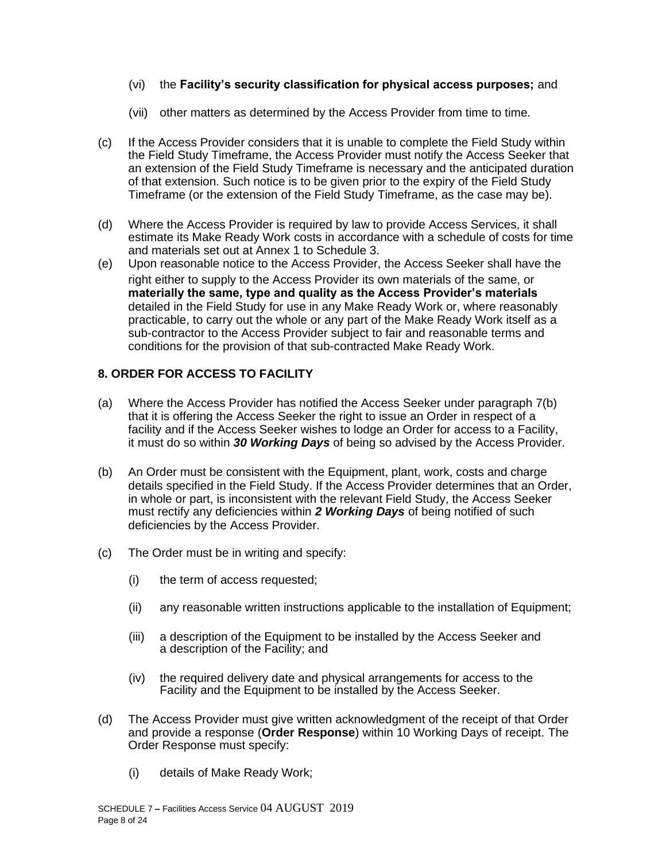### (vi) the **Facility's security classification for physical access purposes;** and

- (vii) other matters as determined by the Access Provider from time to time.
- (c) If the Access Provider considers that it is unable to complete the Field Study within the Field Study Timeframe, the Access Provider must notify the Access Seeker that an extension of the Field Study Timeframe is necessary and the anticipated duration of that extension. Such notice is to be given prior to the expiry of the Field Study Timeframe (or the extension of the Field Study Timeframe, as the case may be).
- (d) Where the Access Provider is required by law to provide Access Services, it shall estimate its Make Ready Work costs in accordance with a schedule of costs for time and materials set out at Annex 1 to Schedule 3.
- (e) Upon reasonable notice to the Access Provider, the Access Seeker shall have the right either to supply to the Access Provider its own materials of the same, or **materially the same, type and quality as the Access Provider's materials**  detailed in the Field Study for use in any Make Ready Work or, where reasonably practicable, to carry out the whole or any part of the Make Ready Work itself as a sub-contractor to the Access Provider subject to fair and reasonable terms and conditions for the provision of that sub-contracted Make Ready Work.

### **8. ORDER FOR ACCESS TO FACILITY**

- (a) Where the Access Provider has notified the Access Seeker under paragraph 7(b) that it is offering the Access Seeker the right to issue an Order in respect of a facility and if the Access Seeker wishes to lodge an Order for access to a Facility, it must do so within *30 Working Days* of being so advised by the Access Provider.
- (b) An Order must be consistent with the Equipment, plant, work, costs and charge details specified in the Field Study. If the Access Provider determines that an Order, in whole or part, is inconsistent with the relevant Field Study, the Access Seeker must rectify any deficiencies within *2 Working Days* of being notified of such deficiencies by the Access Provider.
- (c) The Order must be in writing and specify:
	- (i) the term of access requested;
	- (ii) any reasonable written instructions applicable to the installation of Equipment;
	- (iii) a description of the Equipment to be installed by the Access Seeker and a description of the Facility; and
	- (iv) the required delivery date and physical arrangements for access to the Facility and the Equipment to be installed by the Access Seeker.
- (d) The Access Provider must give written acknowledgment of the receipt of that Order and provide a response (**Order Response**) within 10 Working Days of receipt. The Order Response must specify:
	- (i) details of Make Ready Work;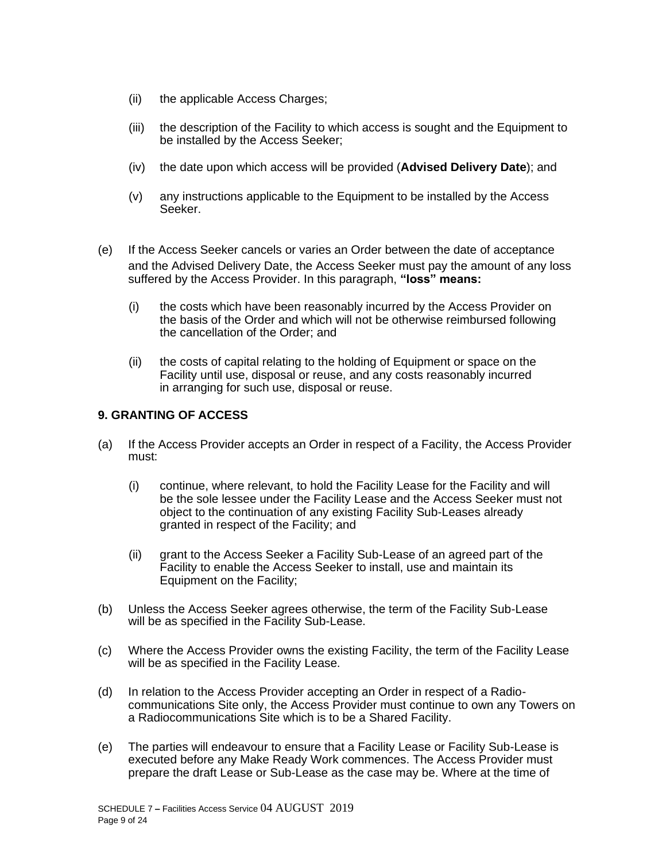- (ii) the applicable Access Charges;
- (iii) the description of the Facility to which access is sought and the Equipment to be installed by the Access Seeker;
- (iv) the date upon which access will be provided (**Advised Delivery Date**); and
- (v) any instructions applicable to the Equipment to be installed by the Access Seeker.
- (e) If the Access Seeker cancels or varies an Order between the date of acceptance and the Advised Delivery Date, the Access Seeker must pay the amount of any loss suffered by the Access Provider. In this paragraph, **"loss" means:**
	- (i) the costs which have been reasonably incurred by the Access Provider on the basis of the Order and which will not be otherwise reimbursed following the cancellation of the Order; and
	- (ii) the costs of capital relating to the holding of Equipment or space on the Facility until use, disposal or reuse, and any costs reasonably incurred in arranging for such use, disposal or reuse.

### **9. GRANTING OF ACCESS**

- (a) If the Access Provider accepts an Order in respect of a Facility, the Access Provider must:
	- (i) continue, where relevant, to hold the Facility Lease for the Facility and will be the sole lessee under the Facility Lease and the Access Seeker must not object to the continuation of any existing Facility Sub-Leases already granted in respect of the Facility; and
	- (ii) grant to the Access Seeker a Facility Sub-Lease of an agreed part of the Facility to enable the Access Seeker to install, use and maintain its Equipment on the Facility;
- (b) Unless the Access Seeker agrees otherwise, the term of the Facility Sub-Lease will be as specified in the Facility Sub-Lease.
- (c) Where the Access Provider owns the existing Facility, the term of the Facility Lease will be as specified in the Facility Lease.
- (d) In relation to the Access Provider accepting an Order in respect of a Radiocommunications Site only, the Access Provider must continue to own any Towers on a Radiocommunications Site which is to be a Shared Facility.
- (e) The parties will endeavour to ensure that a Facility Lease or Facility Sub-Lease is executed before any Make Ready Work commences. The Access Provider must prepare the draft Lease or Sub-Lease as the case may be. Where at the time of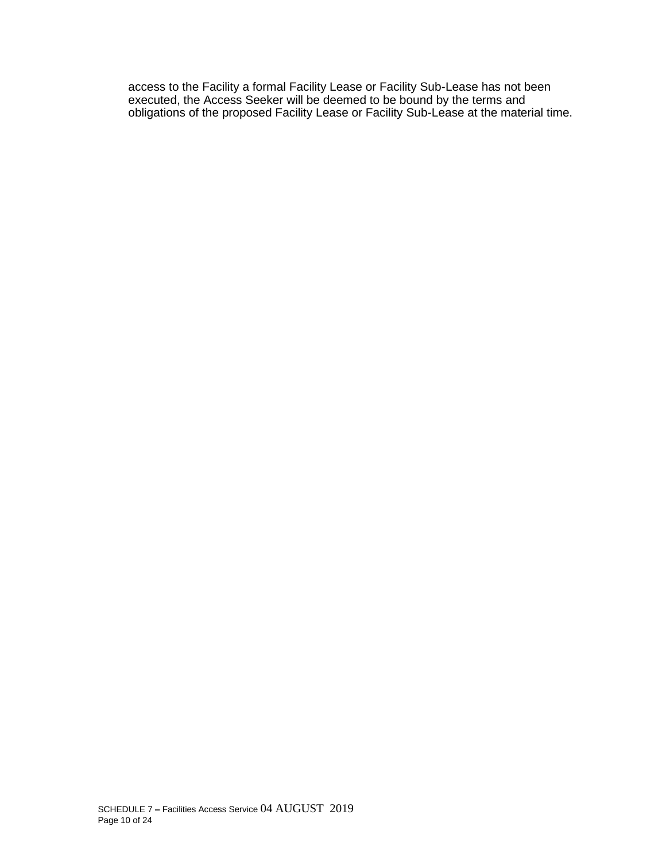access to the Facility a formal Facility Lease or Facility Sub-Lease has not been executed, the Access Seeker will be deemed to be bound by the terms and obligations of the proposed Facility Lease or Facility Sub-Lease at the material time.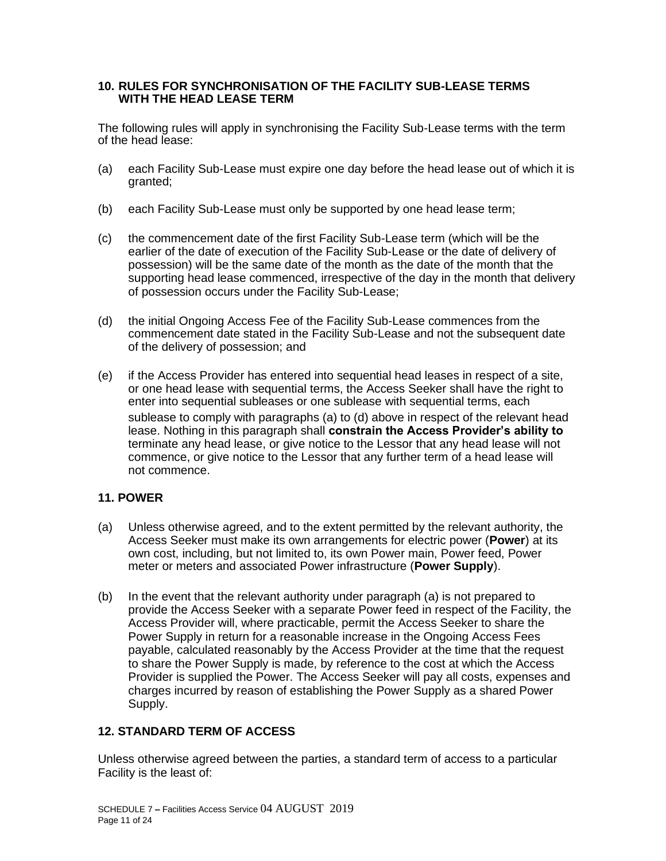#### **10. RULES FOR SYNCHRONISATION OF THE FACILITY SUB-LEASE TERMS WITH THE HEAD LEASE TERM**

The following rules will apply in synchronising the Facility Sub-Lease terms with the term of the head lease:

- (a) each Facility Sub-Lease must expire one day before the head lease out of which it is granted;
- (b) each Facility Sub-Lease must only be supported by one head lease term;
- (c) the commencement date of the first Facility Sub-Lease term (which will be the earlier of the date of execution of the Facility Sub-Lease or the date of delivery of possession) will be the same date of the month as the date of the month that the supporting head lease commenced, irrespective of the day in the month that delivery of possession occurs under the Facility Sub-Lease;
- (d) the initial Ongoing Access Fee of the Facility Sub-Lease commences from the commencement date stated in the Facility Sub-Lease and not the subsequent date of the delivery of possession; and
- (e) if the Access Provider has entered into sequential head leases in respect of a site, or one head lease with sequential terms, the Access Seeker shall have the right to enter into sequential subleases or one sublease with sequential terms, each sublease to comply with paragraphs (a) to (d) above in respect of the relevant head lease. Nothing in this paragraph shall **constrain the Access Provider's ability to** terminate any head lease, or give notice to the Lessor that any head lease will not commence, or give notice to the Lessor that any further term of a head lease will not commence.

### **11. POWER**

- (a) Unless otherwise agreed, and to the extent permitted by the relevant authority, the Access Seeker must make its own arrangements for electric power (**Power**) at its own cost, including, but not limited to, its own Power main, Power feed, Power meter or meters and associated Power infrastructure (**Power Supply**).
- (b) In the event that the relevant authority under paragraph (a) is not prepared to provide the Access Seeker with a separate Power feed in respect of the Facility, the Access Provider will, where practicable, permit the Access Seeker to share the Power Supply in return for a reasonable increase in the Ongoing Access Fees payable, calculated reasonably by the Access Provider at the time that the request to share the Power Supply is made, by reference to the cost at which the Access Provider is supplied the Power. The Access Seeker will pay all costs, expenses and charges incurred by reason of establishing the Power Supply as a shared Power Supply.

## **12. STANDARD TERM OF ACCESS**

Unless otherwise agreed between the parties, a standard term of access to a particular Facility is the least of: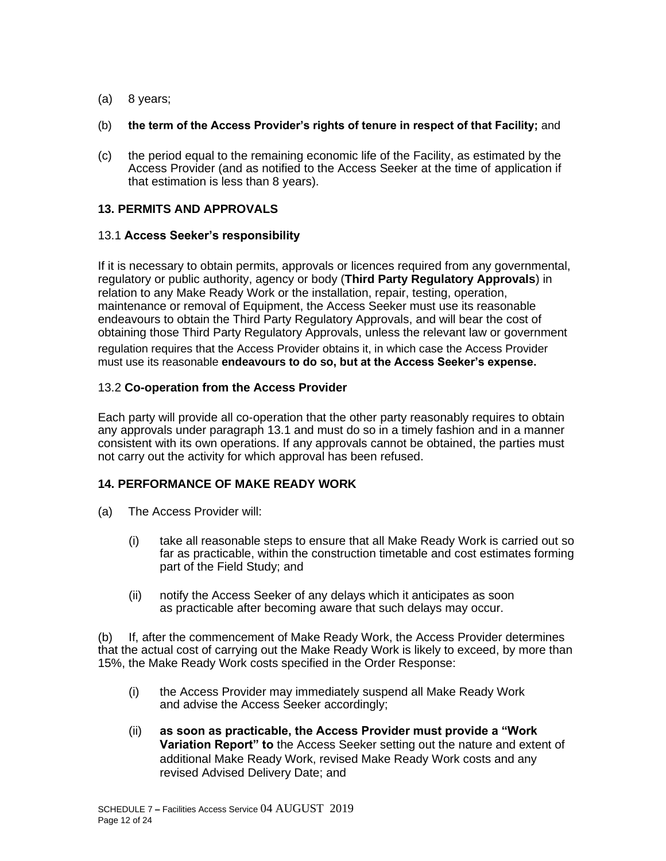- (a) 8 years;
- (b) **the term of the Access Provider's rights of tenure in respect of that Facility;** and
- (c) the period equal to the remaining economic life of the Facility, as estimated by the Access Provider (and as notified to the Access Seeker at the time of application if that estimation is less than 8 years).

### **13. PERMITS AND APPROVALS**

### 13.1 **Access Seeker's responsibility**

If it is necessary to obtain permits, approvals or licences required from any governmental, regulatory or public authority, agency or body (**Third Party Regulatory Approvals**) in relation to any Make Ready Work or the installation, repair, testing, operation, maintenance or removal of Equipment, the Access Seeker must use its reasonable endeavours to obtain the Third Party Regulatory Approvals, and will bear the cost of obtaining those Third Party Regulatory Approvals, unless the relevant law or government regulation requires that the Access Provider obtains it, in which case the Access Provider must use its reasonable **endeavours to do so, but at the Access Seeker's expense.**

### 13.2 **Co-operation from the Access Provider**

Each party will provide all co-operation that the other party reasonably requires to obtain any approvals under paragraph 13.1 and must do so in a timely fashion and in a manner consistent with its own operations. If any approvals cannot be obtained, the parties must not carry out the activity for which approval has been refused.

### **14. PERFORMANCE OF MAKE READY WORK**

- (a) The Access Provider will:
	- (i) take all reasonable steps to ensure that all Make Ready Work is carried out so far as practicable, within the construction timetable and cost estimates forming part of the Field Study; and
	- (ii) notify the Access Seeker of any delays which it anticipates as soon as practicable after becoming aware that such delays may occur.

(b) If, after the commencement of Make Ready Work, the Access Provider determines that the actual cost of carrying out the Make Ready Work is likely to exceed, by more than 15%, the Make Ready Work costs specified in the Order Response:

- (i) the Access Provider may immediately suspend all Make Ready Work and advise the Access Seeker accordingly;
- (ii) **as soon as practicable, the Access Provider must provide a "Work Variation Report" to** the Access Seeker setting out the nature and extent of additional Make Ready Work, revised Make Ready Work costs and any revised Advised Delivery Date; and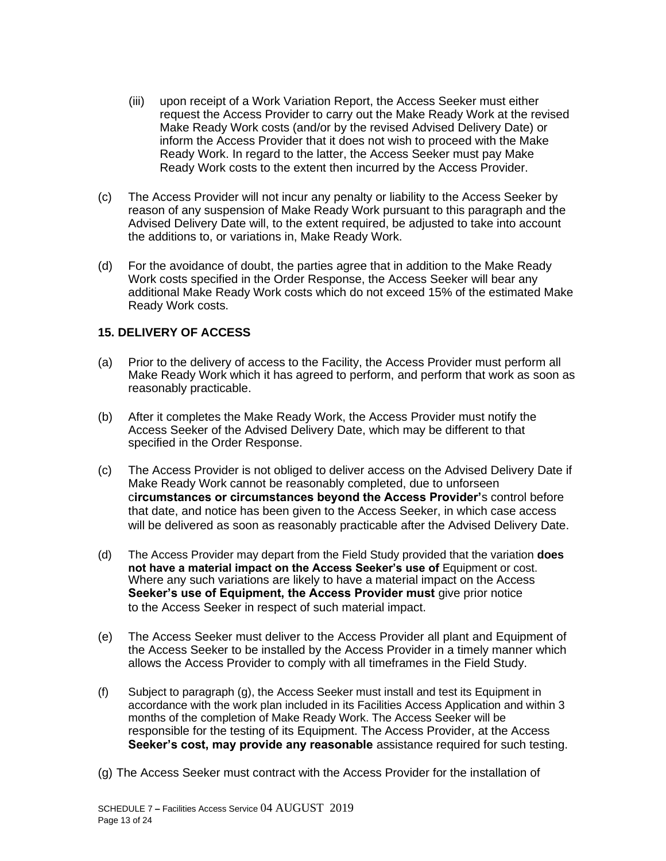- (iii) upon receipt of a Work Variation Report, the Access Seeker must either request the Access Provider to carry out the Make Ready Work at the revised Make Ready Work costs (and/or by the revised Advised Delivery Date) or inform the Access Provider that it does not wish to proceed with the Make Ready Work. In regard to the latter, the Access Seeker must pay Make Ready Work costs to the extent then incurred by the Access Provider.
- (c) The Access Provider will not incur any penalty or liability to the Access Seeker by reason of any suspension of Make Ready Work pursuant to this paragraph and the Advised Delivery Date will, to the extent required, be adjusted to take into account the additions to, or variations in, Make Ready Work.
- (d) For the avoidance of doubt, the parties agree that in addition to the Make Ready Work costs specified in the Order Response, the Access Seeker will bear any additional Make Ready Work costs which do not exceed 15% of the estimated Make Ready Work costs.

### **15. DELIVERY OF ACCESS**

- (a) Prior to the delivery of access to the Facility, the Access Provider must perform all Make Ready Work which it has agreed to perform, and perform that work as soon as reasonably practicable.
- (b) After it completes the Make Ready Work, the Access Provider must notify the Access Seeker of the Advised Delivery Date, which may be different to that specified in the Order Response.
- (c) The Access Provider is not obliged to deliver access on the Advised Delivery Date if Make Ready Work cannot be reasonably completed, due to unforseen c**ircumstances or circumstances beyond the Access Provider'**s control before that date, and notice has been given to the Access Seeker, in which case access will be delivered as soon as reasonably practicable after the Advised Delivery Date.
- (d) The Access Provider may depart from the Field Study provided that the variation **does not have a material impact on the Access Seeker's use of** Equipment or cost. Where any such variations are likely to have a material impact on the Access **Seeker's use of Equipment, the Access Provider must** give prior notice to the Access Seeker in respect of such material impact.
- (e) The Access Seeker must deliver to the Access Provider all plant and Equipment of the Access Seeker to be installed by the Access Provider in a timely manner which allows the Access Provider to comply with all timeframes in the Field Study.
- (f) Subject to paragraph (g), the Access Seeker must install and test its Equipment in accordance with the work plan included in its Facilities Access Application and within 3 months of the completion of Make Ready Work. The Access Seeker will be responsible for the testing of its Equipment. The Access Provider, at the Access **Seeker's cost, may provide any reasonable** assistance required for such testing.
- (g) The Access Seeker must contract with the Access Provider for the installation of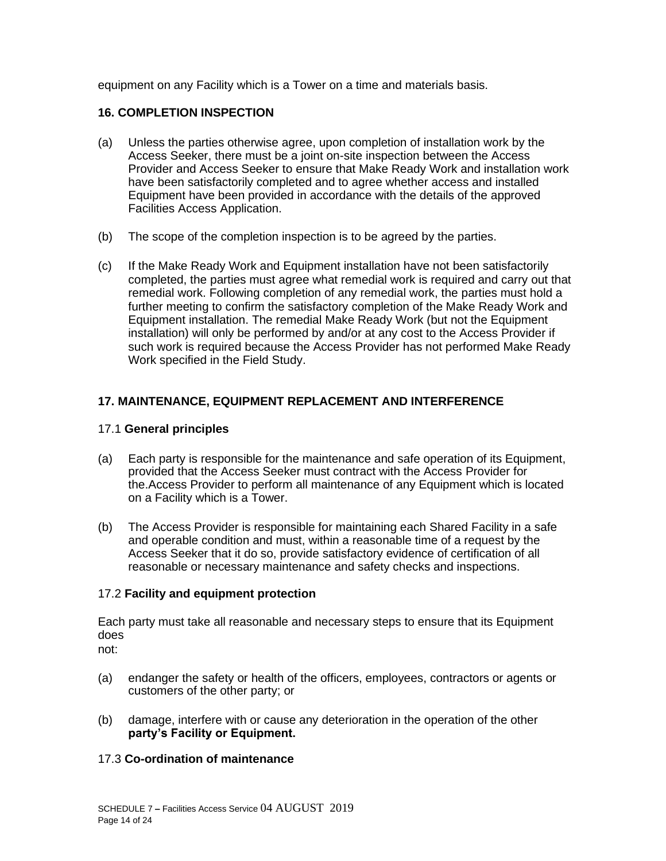equipment on any Facility which is a Tower on a time and materials basis.

### **16. COMPLETION INSPECTION**

- (a) Unless the parties otherwise agree, upon completion of installation work by the Access Seeker, there must be a joint on-site inspection between the Access Provider and Access Seeker to ensure that Make Ready Work and installation work have been satisfactorily completed and to agree whether access and installed Equipment have been provided in accordance with the details of the approved Facilities Access Application.
- (b) The scope of the completion inspection is to be agreed by the parties.
- (c) If the Make Ready Work and Equipment installation have not been satisfactorily completed, the parties must agree what remedial work is required and carry out that remedial work. Following completion of any remedial work, the parties must hold a further meeting to confirm the satisfactory completion of the Make Ready Work and Equipment installation. The remedial Make Ready Work (but not the Equipment installation) will only be performed by and/or at any cost to the Access Provider if such work is required because the Access Provider has not performed Make Ready Work specified in the Field Study.

### **17. MAINTENANCE, EQUIPMENT REPLACEMENT AND INTERFERENCE**

#### 17.1 **General principles**

- (a) Each party is responsible for the maintenance and safe operation of its Equipment, provided that the Access Seeker must contract with the Access Provider for the.Access Provider to perform all maintenance of any Equipment which is located on a Facility which is a Tower.
- (b) The Access Provider is responsible for maintaining each Shared Facility in a safe and operable condition and must, within a reasonable time of a request by the Access Seeker that it do so, provide satisfactory evidence of certification of all reasonable or necessary maintenance and safety checks and inspections.

### 17.2 **Facility and equipment protection**

Each party must take all reasonable and necessary steps to ensure that its Equipment does

not:

- (a) endanger the safety or health of the officers, employees, contractors or agents or customers of the other party; or
- (b) damage, interfere with or cause any deterioration in the operation of the other **party's Facility or Equipment.**

### 17.3 **Co-ordination of maintenance**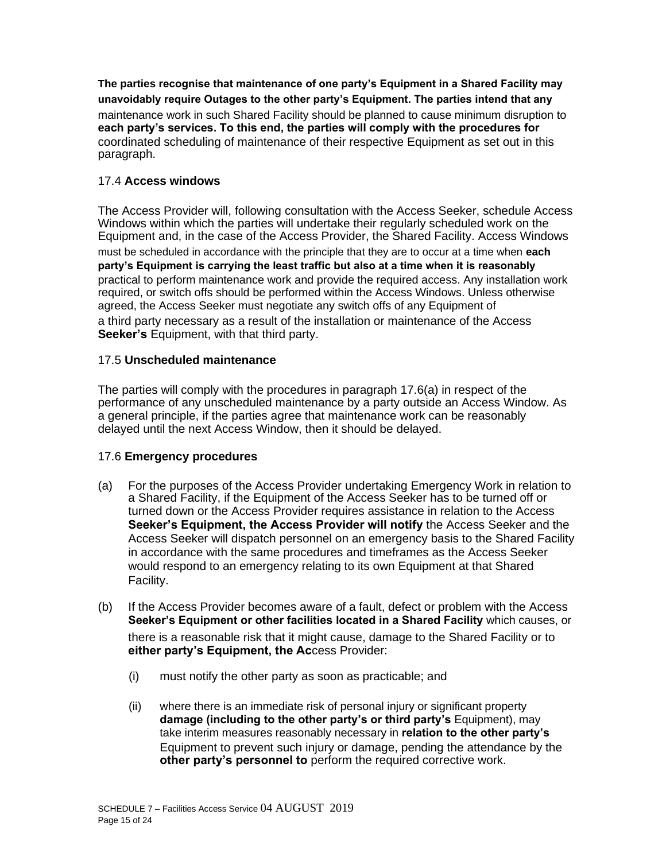**The parties recognise that maintenance of one party's Equipment in a Shared Facility may unavoidably require Outages to the other party's Equipment. The parties intend that any** maintenance work in such Shared Facility should be planned to cause minimum disruption to **each party's services. To this end, the parties will comply with the procedures for** coordinated scheduling of maintenance of their respective Equipment as set out in this paragraph.

### 17.4 **Access windows**

The Access Provider will, following consultation with the Access Seeker, schedule Access Windows within which the parties will undertake their regularly scheduled work on the Equipment and, in the case of the Access Provider, the Shared Facility. Access Windows must be scheduled in accordance with the principle that they are to occur at a time when **each party's Equipment is carrying the least traffic but also at a time when it is reasonably** practical to perform maintenance work and provide the required access. Any installation work required, or switch offs should be performed within the Access Windows. Unless otherwise agreed, the Access Seeker must negotiate any switch offs of any Equipment of a third party necessary as a result of the installation or maintenance of the Access **Seeker's** Equipment, with that third party.

### 17.5 **Unscheduled maintenance**

The parties will comply with the procedures in paragraph 17.6(a) in respect of the performance of any unscheduled maintenance by a party outside an Access Window. As a general principle, if the parties agree that maintenance work can be reasonably delayed until the next Access Window, then it should be delayed.

### 17.6 **Emergency procedures**

- (a) For the purposes of the Access Provider undertaking Emergency Work in relation to a Shared Facility, if the Equipment of the Access Seeker has to be turned off or turned down or the Access Provider requires assistance in relation to the Access **Seeker's Equipment, the Access Provider will notify** the Access Seeker and the Access Seeker will dispatch personnel on an emergency basis to the Shared Facility in accordance with the same procedures and timeframes as the Access Seeker would respond to an emergency relating to its own Equipment at that Shared Facility.
- (b) If the Access Provider becomes aware of a fault, defect or problem with the Access **Seeker's Equipment or other facilities located in a Shared Facility** which causes, or there is a reasonable risk that it might cause, damage to the Shared Facility or to **either party's Equipment, the Ac**cess Provider:
	- (i) must notify the other party as soon as practicable; and
	- (ii) where there is an immediate risk of personal injury or significant property **damage (including to the other party's or third party's** Equipment), may take interim measures reasonably necessary in **relation to the other party's** Equipment to prevent such injury or damage, pending the attendance by the **other party's personnel to** perform the required corrective work.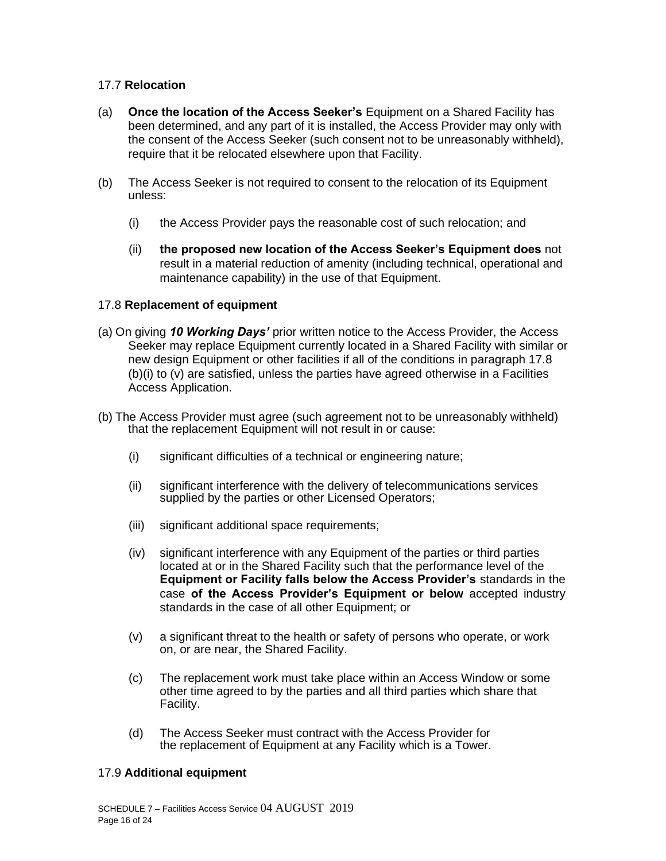#### 17.7 **Relocation**

- (a) **Once the location of the Access Seeker's** Equipment on a Shared Facility has been determined, and any part of it is installed, the Access Provider may only with the consent of the Access Seeker (such consent not to be unreasonably withheld), require that it be relocated elsewhere upon that Facility.
- (b) The Access Seeker is not required to consent to the relocation of its Equipment unless:
	- (i) the Access Provider pays the reasonable cost of such relocation; and
	- (ii) **the proposed new location of the Access Seeker's Equipment does** not result in a material reduction of amenity (including technical, operational and maintenance capability) in the use of that Equipment.

### 17.8 **Replacement of equipment**

- (a) On giving *10 Working Days'* prior written notice to the Access Provider, the Access Seeker may replace Equipment currently located in a Shared Facility with similar or new design Equipment or other facilities if all of the conditions in paragraph 17.8 (b)(i) to (v) are satisfied, unless the parties have agreed otherwise in a Facilities Access Application.
- (b) The Access Provider must agree (such agreement not to be unreasonably withheld) that the replacement Equipment will not result in or cause:
	- (i) significant difficulties of a technical or engineering nature;
	- (ii) significant interference with the delivery of telecommunications services supplied by the parties or other Licensed Operators;
	- (iii) significant additional space requirements;
	- (iv) significant interference with any Equipment of the parties or third parties located at or in the Shared Facility such that the performance level of the **Equipment or Facility falls below the Access Provider's** standards in the case **of the Access Provider's Equipment or below** accepted industry standards in the case of all other Equipment; or
	- (v) a significant threat to the health or safety of persons who operate, or work on, or are near, the Shared Facility.
	- (c) The replacement work must take place within an Access Window or some other time agreed to by the parties and all third parties which share that Facility.
	- (d) The Access Seeker must contract with the Access Provider for the replacement of Equipment at any Facility which is a Tower.

#### 17.9 **Additional equipment**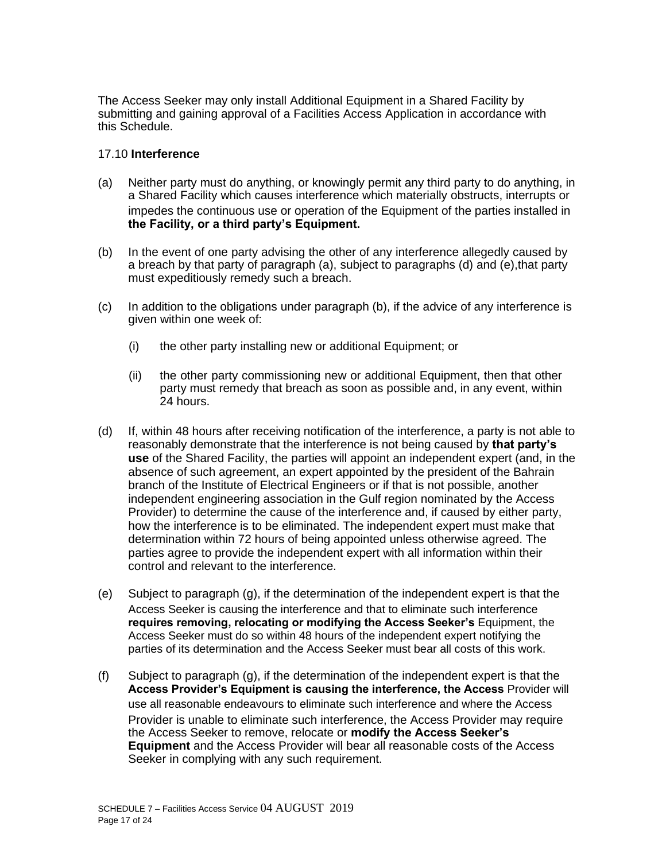The Access Seeker may only install Additional Equipment in a Shared Facility by submitting and gaining approval of a Facilities Access Application in accordance with this Schedule.

#### 17.10 **Interference**

- (a) Neither party must do anything, or knowingly permit any third party to do anything, in a Shared Facility which causes interference which materially obstructs, interrupts or impedes the continuous use or operation of the Equipment of the parties installed in **the Facility, or a third party's Equipment.**
- (b) In the event of one party advising the other of any interference allegedly caused by a breach by that party of paragraph (a), subject to paragraphs (d) and (e),that party must expeditiously remedy such a breach.
- (c) In addition to the obligations under paragraph (b), if the advice of any interference is given within one week of:
	- (i) the other party installing new or additional Equipment; or
	- (ii) the other party commissioning new or additional Equipment, then that other party must remedy that breach as soon as possible and, in any event, within 24 hours.
- (d) If, within 48 hours after receiving notification of the interference, a party is not able to reasonably demonstrate that the interference is not being caused by **that party's use** of the Shared Facility, the parties will appoint an independent expert (and, in the absence of such agreement, an expert appointed by the president of the Bahrain branch of the Institute of Electrical Engineers or if that is not possible, another independent engineering association in the Gulf region nominated by the Access Provider) to determine the cause of the interference and, if caused by either party, how the interference is to be eliminated. The independent expert must make that determination within 72 hours of being appointed unless otherwise agreed. The parties agree to provide the independent expert with all information within their control and relevant to the interference.
- (e) Subject to paragraph (g), if the determination of the independent expert is that the Access Seeker is causing the interference and that to eliminate such interference **requires removing, relocating or modifying the Access Seeker's** Equipment, the Access Seeker must do so within 48 hours of the independent expert notifying the parties of its determination and the Access Seeker must bear all costs of this work.
- (f) Subject to paragraph (g), if the determination of the independent expert is that the **Access Provider's Equipment is causing the interference, the Access** Provider will use all reasonable endeavours to eliminate such interference and where the Access Provider is unable to eliminate such interference, the Access Provider may require the Access Seeker to remove, relocate or **modify the Access Seeker's Equipment** and the Access Provider will bear all reasonable costs of the Access Seeker in complying with any such requirement.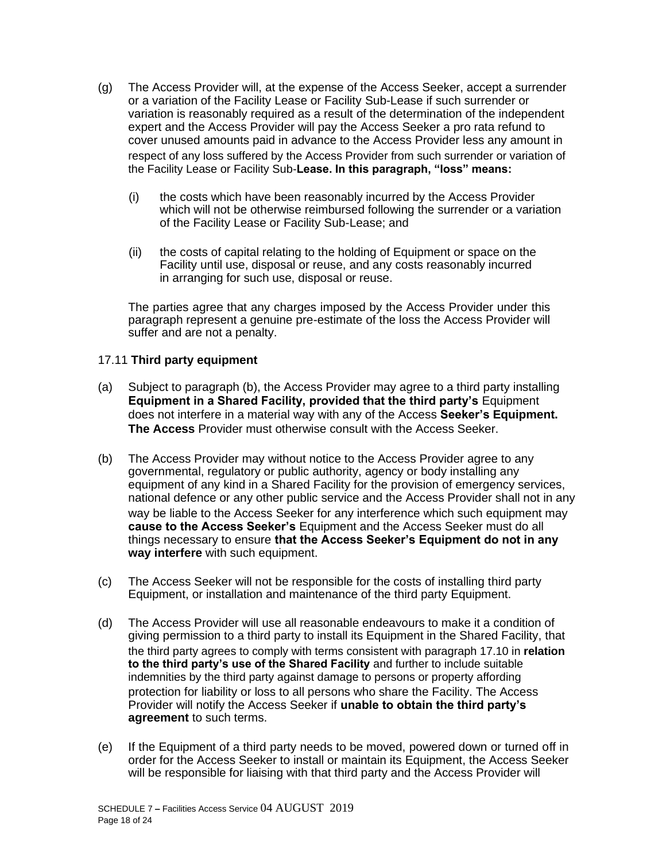- (g) The Access Provider will, at the expense of the Access Seeker, accept a surrender or a variation of the Facility Lease or Facility Sub-Lease if such surrender or variation is reasonably required as a result of the determination of the independent expert and the Access Provider will pay the Access Seeker a pro rata refund to cover unused amounts paid in advance to the Access Provider less any amount in respect of any loss suffered by the Access Provider from such surrender or variation of the Facility Lease or Facility Sub-**Lease. In this paragraph, "loss" means:**
	- (i) the costs which have been reasonably incurred by the Access Provider which will not be otherwise reimbursed following the surrender or a variation of the Facility Lease or Facility Sub-Lease; and
	- (ii) the costs of capital relating to the holding of Equipment or space on the Facility until use, disposal or reuse, and any costs reasonably incurred in arranging for such use, disposal or reuse.

The parties agree that any charges imposed by the Access Provider under this paragraph represent a genuine pre-estimate of the loss the Access Provider will suffer and are not a penalty.

#### 17.11 **Third party equipment**

- (a) Subject to paragraph (b), the Access Provider may agree to a third party installing **Equipment in a Shared Facility, provided that the third party's** Equipment does not interfere in a material way with any of the Access **Seeker's Equipment. The Access** Provider must otherwise consult with the Access Seeker.
- (b) The Access Provider may without notice to the Access Provider agree to any governmental, regulatory or public authority, agency or body installing any equipment of any kind in a Shared Facility for the provision of emergency services, national defence or any other public service and the Access Provider shall not in any way be liable to the Access Seeker for any interference which such equipment may **cause to the Access Seeker's** Equipment and the Access Seeker must do all things necessary to ensure **that the Access Seeker's Equipment do not in any way interfere** with such equipment.
- (c) The Access Seeker will not be responsible for the costs of installing third party Equipment, or installation and maintenance of the third party Equipment.
- (d) The Access Provider will use all reasonable endeavours to make it a condition of giving permission to a third party to install its Equipment in the Shared Facility, that the third party agrees to comply with terms consistent with paragraph 17.10 in **relation to the third party's use of the Shared Facility** and further to include suitable indemnities by the third party against damage to persons or property affording protection for liability or loss to all persons who share the Facility. The Access Provider will notify the Access Seeker if **unable to obtain the third party's agreement** to such terms.
- (e) If the Equipment of a third party needs to be moved, powered down or turned off in order for the Access Seeker to install or maintain its Equipment, the Access Seeker will be responsible for liaising with that third party and the Access Provider will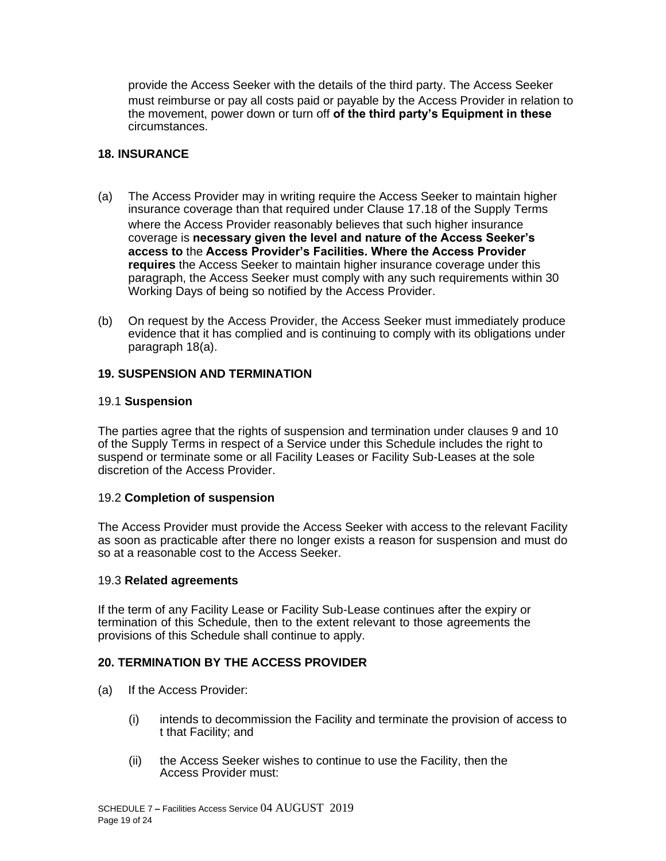provide the Access Seeker with the details of the third party. The Access Seeker must reimburse or pay all costs paid or payable by the Access Provider in relation to the movement, power down or turn off **of the third party's Equipment in these** circumstances.

#### **18. INSURANCE**

- (a) The Access Provider may in writing require the Access Seeker to maintain higher insurance coverage than that required under Clause 17.18 of the Supply Terms where the Access Provider reasonably believes that such higher insurance coverage is **necessary given the level and nature of the Access Seeker's access to** the **Access Provider's Facilities. Where the Access Provider requires** the Access Seeker to maintain higher insurance coverage under this paragraph, the Access Seeker must comply with any such requirements within 30 Working Days of being so notified by the Access Provider.
- (b) On request by the Access Provider, the Access Seeker must immediately produce evidence that it has complied and is continuing to comply with its obligations under paragraph 18(a).

#### **19. SUSPENSION AND TERMINATION**

#### 19.1 **Suspension**

The parties agree that the rights of suspension and termination under clauses 9 and 10 of the Supply Terms in respect of a Service under this Schedule includes the right to suspend or terminate some or all Facility Leases or Facility Sub-Leases at the sole discretion of the Access Provider.

#### 19.2 **Completion of suspension**

The Access Provider must provide the Access Seeker with access to the relevant Facility as soon as practicable after there no longer exists a reason for suspension and must do so at a reasonable cost to the Access Seeker.

#### 19.3 **Related agreements**

If the term of any Facility Lease or Facility Sub-Lease continues after the expiry or termination of this Schedule, then to the extent relevant to those agreements the provisions of this Schedule shall continue to apply.

### **20. TERMINATION BY THE ACCESS PROVIDER**

- (a) If the Access Provider:
	- (i) intends to decommission the Facility and terminate the provision of access to t that Facility; and
	- (ii) the Access Seeker wishes to continue to use the Facility, then the Access Provider must: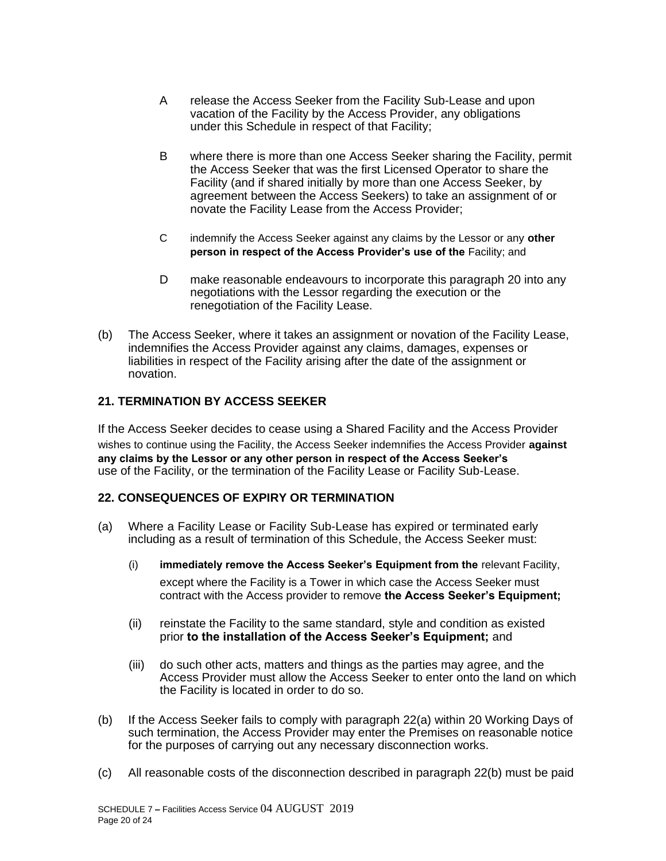- A release the Access Seeker from the Facility Sub-Lease and upon vacation of the Facility by the Access Provider, any obligations under this Schedule in respect of that Facility;
- B where there is more than one Access Seeker sharing the Facility, permit the Access Seeker that was the first Licensed Operator to share the Facility (and if shared initially by more than one Access Seeker, by agreement between the Access Seekers) to take an assignment of or novate the Facility Lease from the Access Provider;
- C indemnify the Access Seeker against any claims by the Lessor or any **other**  person in respect of the Access Provider's use of the Facility; and
- D make reasonable endeavours to incorporate this paragraph 20 into any negotiations with the Lessor regarding the execution or the renegotiation of the Facility Lease.
- (b) The Access Seeker, where it takes an assignment or novation of the Facility Lease, indemnifies the Access Provider against any claims, damages, expenses or liabilities in respect of the Facility arising after the date of the assignment or novation.

### **21. TERMINATION BY ACCESS SEEKER**

If the Access Seeker decides to cease using a Shared Facility and the Access Provider wishes to continue using the Facility, the Access Seeker indemnifies the Access Provider **against any claims by the Lessor or any other person in respect of the Access Seeker's** use of the Facility, or the termination of the Facility Lease or Facility Sub-Lease.

### **22. CONSEQUENCES OF EXPIRY OR TERMINATION**

- (a) Where a Facility Lease or Facility Sub-Lease has expired or terminated early including as a result of termination of this Schedule, the Access Seeker must:
	- (i) **immediately remove the Access Seeker's Equipment from the** relevant Facility, except where the Facility is a Tower in which case the Access Seeker must contract with the Access provider to remove **the Access Seeker's Equipment;**
	- (ii) reinstate the Facility to the same standard, style and condition as existed prior **to the installation of the Access Seeker's Equipment;** and
	- (iii) do such other acts, matters and things as the parties may agree, and the Access Provider must allow the Access Seeker to enter onto the land on which the Facility is located in order to do so.
- (b) If the Access Seeker fails to comply with paragraph 22(a) within 20 Working Days of such termination, the Access Provider may enter the Premises on reasonable notice for the purposes of carrying out any necessary disconnection works.
- (c) All reasonable costs of the disconnection described in paragraph 22(b) must be paid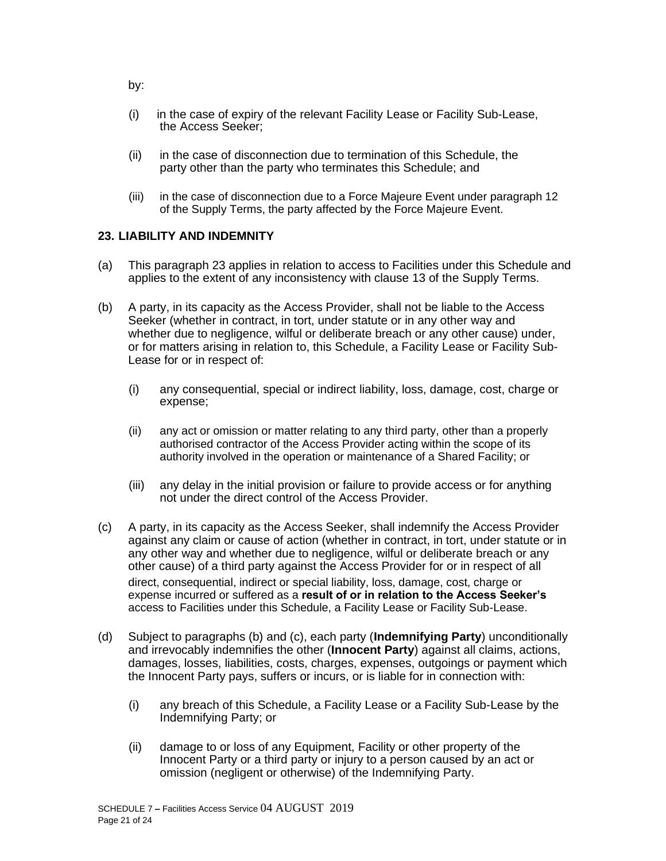- (i) in the case of expiry of the relevant Facility Lease or Facility Sub-Lease, the Access Seeker;
- (ii) in the case of disconnection due to termination of this Schedule, the party other than the party who terminates this Schedule; and
- (iii) in the case of disconnection due to a Force Majeure Event under paragraph 12 of the Supply Terms, the party affected by the Force Majeure Event.

#### **23. LIABILITY AND INDEMNITY**

- (a) This paragraph 23 applies in relation to access to Facilities under this Schedule and applies to the extent of any inconsistency with clause 13 of the Supply Terms.
- (b) A party, in its capacity as the Access Provider, shall not be liable to the Access Seeker (whether in contract, in tort, under statute or in any other way and whether due to negligence, wilful or deliberate breach or any other cause) under, or for matters arising in relation to, this Schedule, a Facility Lease or Facility Sub-Lease for or in respect of:
	- (i) any consequential, special or indirect liability, loss, damage, cost, charge or expense;
	- (ii) any act or omission or matter relating to any third party, other than a properly authorised contractor of the Access Provider acting within the scope of its authority involved in the operation or maintenance of a Shared Facility; or
	- (iii) any delay in the initial provision or failure to provide access or for anything not under the direct control of the Access Provider.
- (c) A party, in its capacity as the Access Seeker, shall indemnify the Access Provider against any claim or cause of action (whether in contract, in tort, under statute or in any other way and whether due to negligence, wilful or deliberate breach or any other cause) of a third party against the Access Provider for or in respect of all direct, consequential, indirect or special liability, loss, damage, cost, charge or expense incurred or suffered as a **result of or in relation to the Access Seeker's** access to Facilities under this Schedule, a Facility Lease or Facility Sub-Lease.
- (d) Subject to paragraphs (b) and (c), each party (**Indemnifying Party**) unconditionally and irrevocably indemnifies the other (**Innocent Party**) against all claims, actions, damages, losses, liabilities, costs, charges, expenses, outgoings or payment which the Innocent Party pays, suffers or incurs, or is liable for in connection with:
	- (i) any breach of this Schedule, a Facility Lease or a Facility Sub-Lease by the Indemnifying Party; or
	- (ii) damage to or loss of any Equipment, Facility or other property of the Innocent Party or a third party or injury to a person caused by an act or omission (negligent or otherwise) of the Indemnifying Party.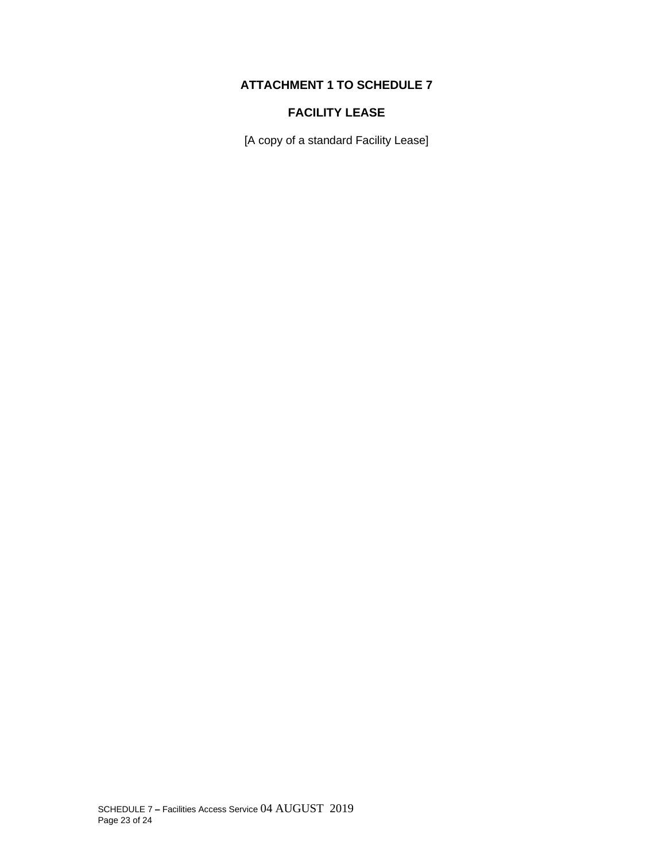## **ATTACHMENT 1 TO SCHEDULE 7**

# **FACILITY LEASE**

[A copy of a standard Facility Lease]